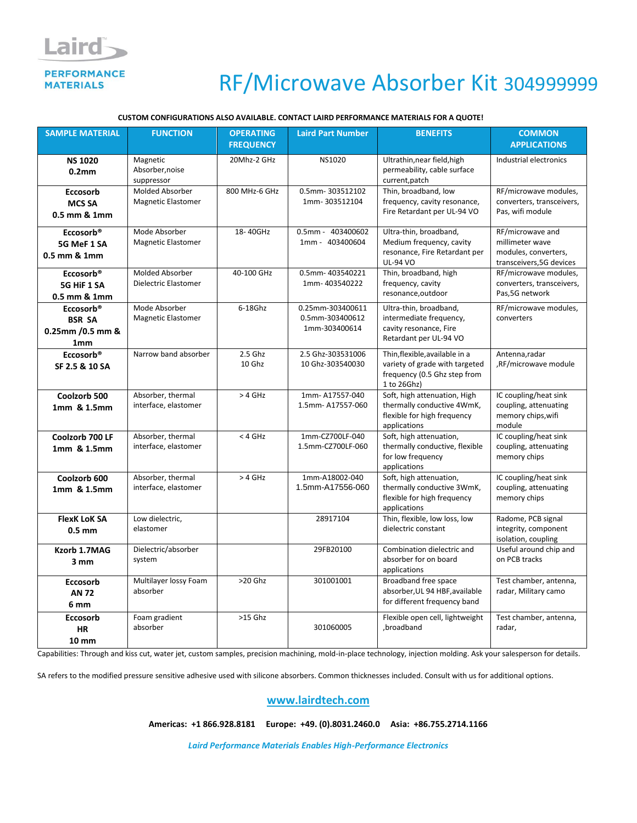### Laird **PERFORMANCE MATERIALS**

## RF/Microwave Absorber Kit 304999999

#### **CUSTOM CONFIGURATIONS ALSO AVAILABLE. CONTACT LAIRD PERFORMANCE MATERIALS FOR A QUOTE!**

| <b>SAMPLE MATERIAL</b>                                                         | <b>FUNCTION</b>                                | <b>OPERATING</b><br><b>FREQUENCY</b> | <b>Laird Part Number</b>                             | <b>BENEFITS</b>                                                                                                 | <b>COMMON</b><br><b>APPLICATIONS</b>                                                    |
|--------------------------------------------------------------------------------|------------------------------------------------|--------------------------------------|------------------------------------------------------|-----------------------------------------------------------------------------------------------------------------|-----------------------------------------------------------------------------------------|
| <b>NS 1020</b><br>0.2 <sub>mm</sub>                                            | Magnetic<br>Absorber, noise<br>suppressor      | 20Mhz-2 GHz                          | NS1020                                               | Ultrathin, near field, high<br>permeability, cable surface<br>current, patch                                    | Industrial electronics                                                                  |
| <b>Eccosorb</b><br><b>MCS SA</b><br>0.5 mm & 1mm                               | Molded Absorber<br><b>Magnetic Elastomer</b>   | 800 MHz-6 GHz                        | 0.5mm-303512102<br>1mm-303512104                     | Thin, broadband, low<br>frequency, cavity resonance,<br>Fire Retardant per UL-94 VO                             | RF/microwave modules,<br>converters, transceivers,<br>Pas, wifi module                  |
| Eccosorb <sup>®</sup><br>5G MeF 1 SA<br>$0.5$ mm $\&$ 1mm                      | Mode Absorber<br><b>Magnetic Elastomer</b>     | 18-40GHz                             | 0.5mm - 403400602<br>1mm - 403400604                 | Ultra-thin, broadband,<br>Medium frequency, cavity<br>resonance, Fire Retardant per<br><b>UL-94 VO</b>          | RF/microwave and<br>millimeter wave<br>modules, converters,<br>transceivers, 5G devices |
| Eccosorb <sup>®</sup><br>5G HiF 1 SA<br>0.5 mm & 1mm                           | <b>Molded Absorber</b><br>Dielectric Elastomer | 40-100 GHz                           | 0.5mm-403540221<br>1mm-403540222                     | Thin, broadband, high<br>frequency, cavity<br>resonance, outdoor                                                | RF/microwave modules,<br>converters, transceivers,<br>Pas, 5G network                   |
| Eccosorb <sup>®</sup><br><b>BSR SA</b><br>0.25mm / 0.5 mm &<br>1 <sub>mm</sub> | Mode Absorber<br><b>Magnetic Elastomer</b>     | $6-18$ Ghz                           | 0.25mm-303400611<br>0.5mm-303400612<br>1mm-303400614 | Ultra-thin, broadband,<br>intermediate frequency,<br>cavity resonance, Fire<br>Retardant per UL-94 VO           | RF/microwave modules,<br>converters                                                     |
| Eccosorb <sup>®</sup><br>SF 2.5 & 10 SA                                        | Narrow band absorber                           | 2.5 Ghz<br>$10$ Ghz                  | 2.5 Ghz-303531006<br>10 Ghz-303540030                | Thin, flexible, available in a<br>variety of grade with targeted<br>frequency (0.5 Ghz step from<br>1 to 26Ghz) | Antenna, radar<br>,RF/microwave module                                                  |
| Coolzorb 500<br>1mm & 1.5mm                                                    | Absorber, thermal<br>interface, elastomer      | $>4$ GHz                             | 1mm-A17557-040<br>1.5mm-A17557-060                   | Soft, high attenuation, High<br>thermally conductive 4WmK,<br>flexible for high frequency<br>applications       | IC coupling/heat sink<br>coupling, attenuating<br>memory chips, wifi<br>module          |
| Coolzorb 700 LF<br>1mm & 1.5mm                                                 | Absorber, thermal<br>interface, elastomer      | $<$ 4 GHz                            | 1mm-CZ700LF-040<br>1.5mm-CZ700LF-060                 | Soft, high attenuation,<br>thermally conductive, flexible<br>for low frequency<br>applications                  | IC coupling/heat sink<br>coupling, attenuating<br>memory chips                          |
| Coolzorb <sub>600</sub><br>1mm & 1.5mm                                         | Absorber, thermal<br>interface, elastomer      | $>4$ GHz                             | 1mm-A18002-040<br>1.5mm-A17556-060                   | Soft, high attenuation,<br>thermally conductive 3WmK,<br>flexible for high frequency<br>applications            | IC coupling/heat sink<br>coupling, attenuating<br>memory chips                          |
| <b>FlexK LoK SA</b><br>$0.5$ mm                                                | Low dielectric,<br>elastomer                   |                                      | 28917104                                             | Thin, flexible, low loss, low<br>dielectric constant                                                            | Radome, PCB signal<br>integrity, component<br>isolation, coupling                       |
| Kzorb 1.7MAG<br>3 mm                                                           | Dielectric/absorber<br>system                  |                                      | 29FB20100                                            | Combination dielectric and<br>absorber for on board<br>applications                                             | Useful around chip and<br>on PCB tracks                                                 |
| <b>Eccosorb</b><br><b>AN 72</b><br>6 mm                                        | Multilayer lossy Foam<br>absorber              | $>20$ Ghz                            | 301001001                                            | Broadband free space<br>absorber, UL 94 HBF, available<br>for different frequency band                          | Test chamber, antenna,<br>radar, Military camo                                          |
| <b>Eccosorb</b><br><b>HR</b><br>$10 \text{ mm}$                                | Foam gradient<br>absorber                      | >15 Ghz                              | 301060005                                            | Flexible open cell, lightweight<br>.broadband                                                                   | Test chamber, antenna,<br>radar,                                                        |

Capabilities: Through and kiss cut, water jet, custom samples, precision machining, mold-in-place technology, injection molding. Ask your salesperson for details.

SA refers to the modified pressure sensitive adhesive used with silicone absorbers. Common thicknesses included. Consult with us for additional options.

### **[www.lairdtech.com](http://www.lairdtech.com/)**

**Americas: +1 866.928.8181 Europe: +49. (0).8031.2460.0 Asia: +86.755.2714.1166**

*Laird Performance Materials Enables High-Performance Electronics*